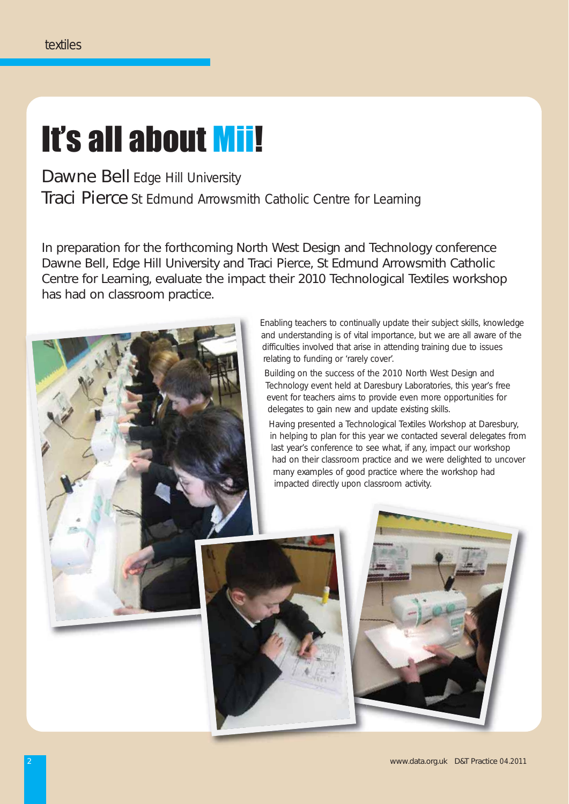# It's all about Mii!

Dawne Bell Edge Hill University Traci Pierce St Edmund Arrowsmith Catholic Centre for Learning

In preparation for the forthcoming North West Design and Technology conference Dawne Bell, Edge Hill University and Traci Pierce, St Edmund Arrowsmith Catholic Centre for Learning, evaluate the impact their 2010 Technological Textiles workshop has had on classroom practice.

> Enabling teachers to continually update their subject skills, knowledge and understanding is of vital importance, but we are all aware of the difficulties involved that arise in attending training due to issues relating to funding or 'rarely cover'.

Building on the success of the 2010 North West Design and Technology event held at Daresbury Laboratories, this year's free event for teachers aims to provide even more opportunities for delegates to gain new and update existing skills.

Having presented a Technological Textiles Workshop at Daresbury, in helping to plan for this year we contacted several delegates from last year's conference to see what, if any, impact our workshop had on their classroom practice and we were delighted to uncover many examples of good practice where the workshop had impacted directly upon classroom activity.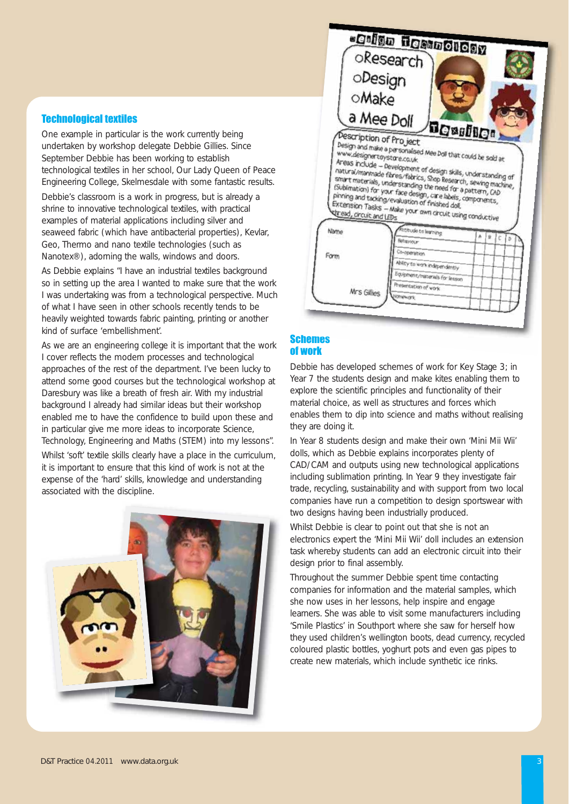## Technological textiles

One example in particular is the work currently being undertaken by workshop delegate Debbie Gillies. Since September Debbie has been working to establish technological textiles in her school, Our Lady Queen of Peace Engineering College, Skelmesdale with some fantastic results.

Debbie's classroom is a work in progress, but is already a shrine to innovative technological textiles, with practical examples of material applications including silver and seaweed fabric (which have antibacterial properties), Kevlar, Geo, Thermo and nano textile technologies (such as Nanotex®), adorning the walls, windows and doors.

As Debbie explains "I have an industrial textiles background so in setting up the area I wanted to make sure that the work I was undertaking was from a technological perspective. Much of what I have seen in other schools recently tends to be heavily weighted towards fabric painting, printing or another kind of surface 'embellishment'.

As we are an engineering college it is important that the work I cover reflects the modern processes and technological approaches of the rest of the department. I've been lucky to attend some good courses but the technological workshop at Daresbury was like a breath of fresh air. With my industrial background I already had similar ideas but their workshop enabled me to have the confidence to build upon these and in particular give me more ideas to incorporate Science, Technology, Engineering and Maths (STEM) into my lessons".

Whilst 'soft' textile skills clearly have a place in the curriculum, it is important to ensure that this kind of work is not at the expense of the 'hard' skills, knowledge and understanding associated with the discipline.





## Schemes of work

Debbie has developed schemes of work for Key Stage 3; in Year 7 the students design and make kites enabling them to explore the scientific principles and functionality of their material choice, as well as structures and forces which enables them to dip into science and maths without realising they are doing it.

In Year 8 students design and make their own 'Mini Mii Wii' dolls, which as Debbie explains incorporates plenty of CAD/CAM and outputs using new technological applications including sublimation printing. In Year 9 they investigate fair trade, recycling, sustainability and with support from two local companies have run a competition to design sportswear with two designs having been industrially produced.

Whilst Debbie is clear to point out that she is not an electronics expert the 'Mini Mii Wii' doll includes an extension task whereby students can add an electronic circuit into their design prior to final assembly.

Throughout the summer Debbie spent time contacting companies for information and the material samples, which she now uses in her lessons, help inspire and engage learners. She was able to visit some manufacturers including 'Smile Plastics' in Southport where she saw for herself how they used children's wellington boots, dead currency, recycled coloured plastic bottles, yoghurt pots and even gas pipes to create new materials, which include synthetic ice rinks.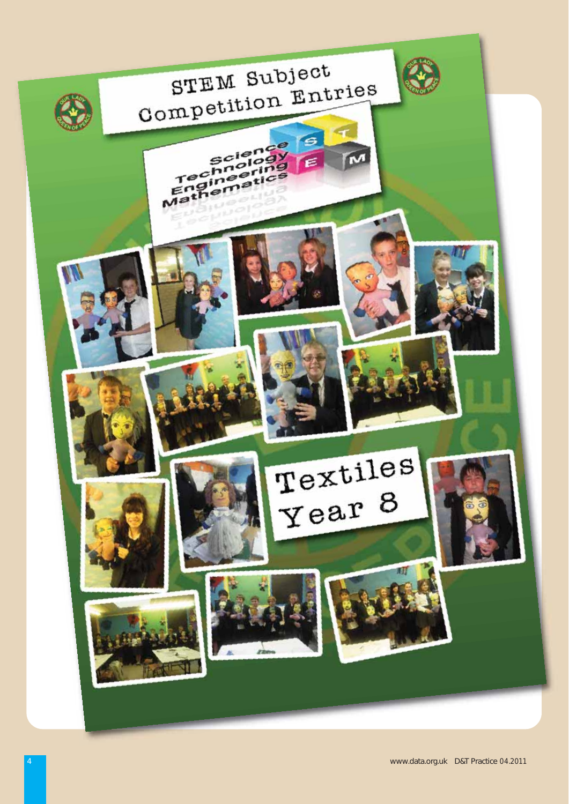